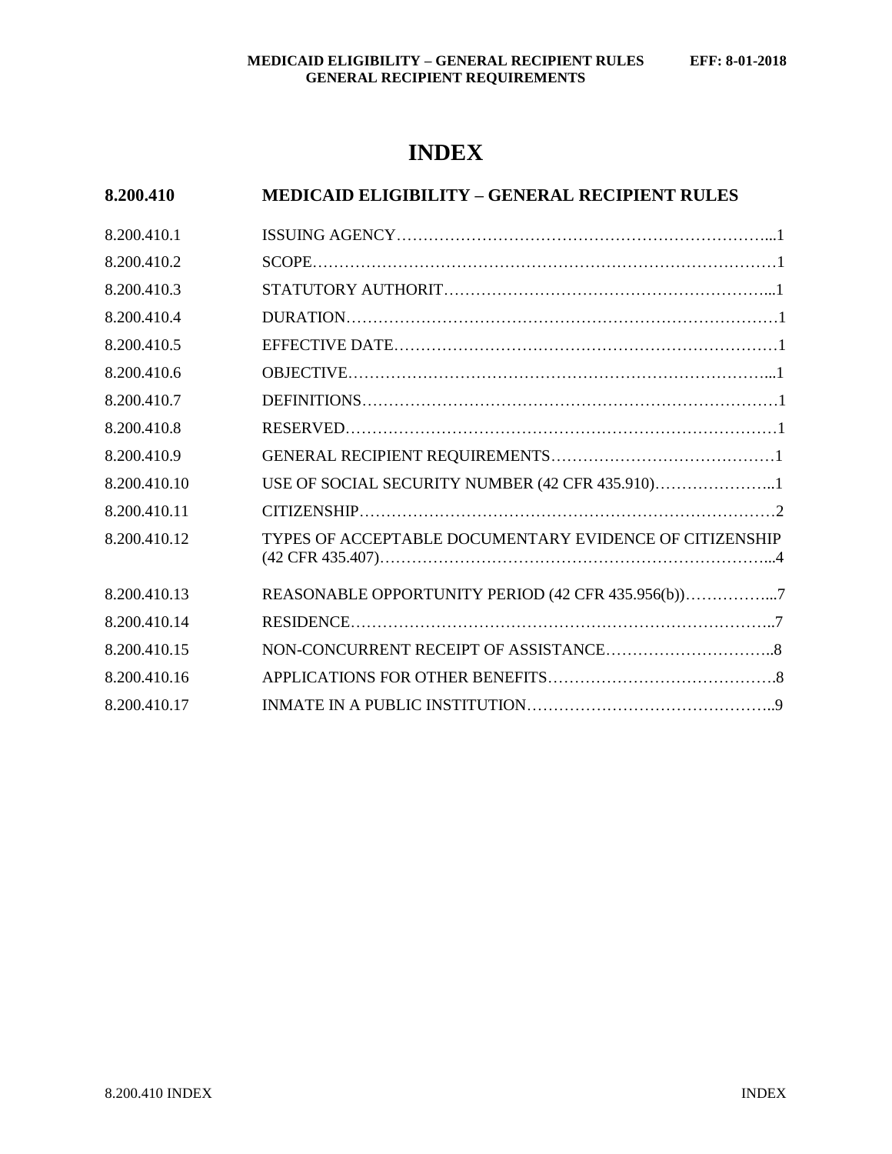# **INDEX**

| 8.200.410    | <b>MEDICAID ELIGIBILITY – GENERAL RECIPIENT RULES</b>   |  |
|--------------|---------------------------------------------------------|--|
| 8.200.410.1  |                                                         |  |
| 8.200.410.2  |                                                         |  |
| 8.200.410.3  |                                                         |  |
| 8.200.410.4  |                                                         |  |
| 8.200.410.5  |                                                         |  |
| 8.200.410.6  |                                                         |  |
| 8.200.410.7  |                                                         |  |
| 8.200.410.8  |                                                         |  |
| 8.200.410.9  |                                                         |  |
| 8.200.410.10 | USE OF SOCIAL SECURITY NUMBER (42 CFR 435.910)1         |  |
| 8.200.410.11 |                                                         |  |
| 8.200.410.12 | TYPES OF ACCEPTABLE DOCUMENTARY EVIDENCE OF CITIZENSHIP |  |
| 8.200.410.13 | REASONABLE OPPORTUNITY PERIOD (42 CFR 435.956(b))7      |  |
| 8.200.410.14 |                                                         |  |
| 8.200.410.15 |                                                         |  |
| 8.200.410.16 |                                                         |  |
| 8.200.410.17 |                                                         |  |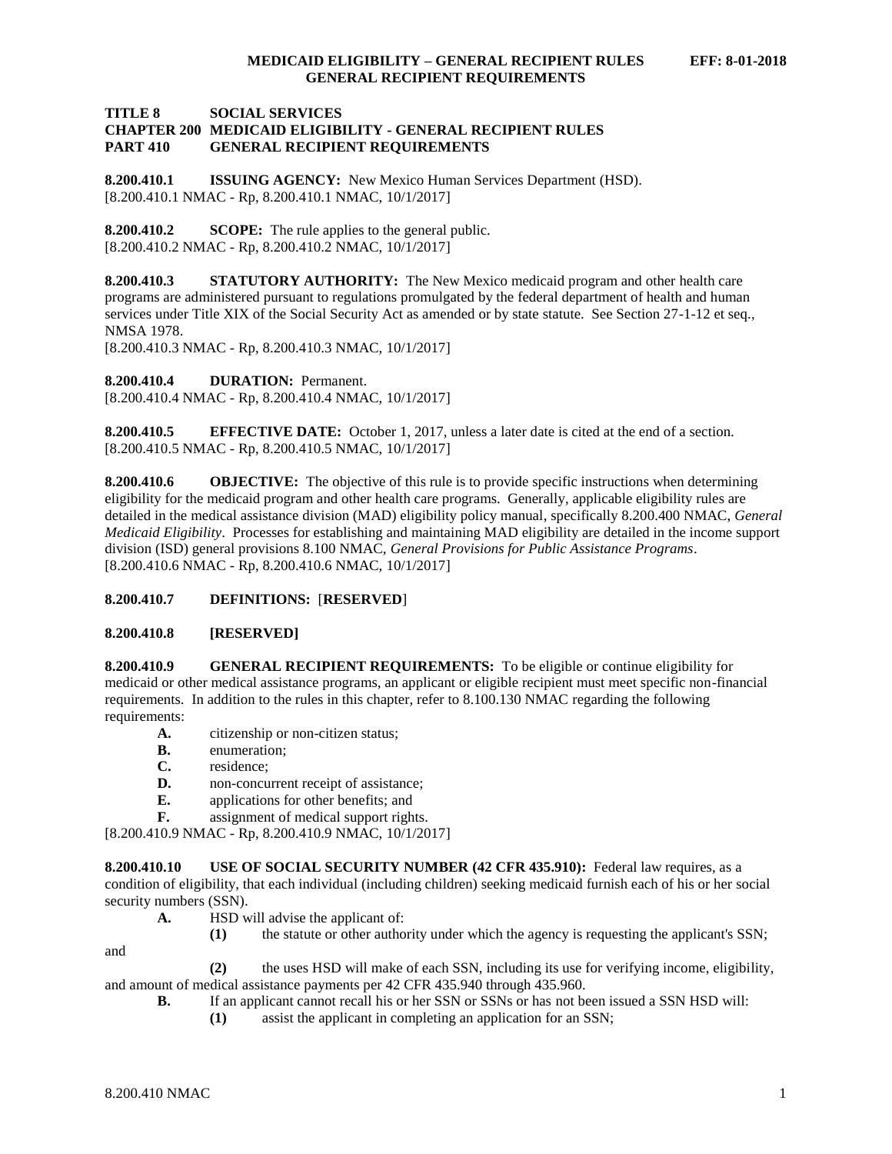## **TITLE 8 SOCIAL SERVICES CHAPTER 200 MEDICAID ELIGIBILITY - GENERAL RECIPIENT RULES PART 410 GENERAL RECIPIENT REQUIREMENTS**

<span id="page-1-0"></span>**8.200.410.1 ISSUING AGENCY:** New Mexico Human Services Department (HSD). [8.200.410.1 NMAC - Rp, 8.200.410.1 NMAC, 10/1/2017]

<span id="page-1-1"></span>**8.200.410.2 SCOPE:** The rule applies to the general public. [8.200.410.2 NMAC - Rp, 8.200.410.2 NMAC, 10/1/2017]

<span id="page-1-2"></span>**8.200.410.3 STATUTORY AUTHORITY:** The New Mexico medicaid program and other health care programs are administered pursuant to regulations promulgated by the federal department of health and human services under Title XIX of the Social Security Act as amended or by state statute. See Section 27-1-12 et seq., NMSA 1978.

[8.200.410.3 NMAC - Rp, 8.200.410.3 NMAC, 10/1/2017]

<span id="page-1-3"></span>**8.200.410.4 DURATION:** Permanent.

[8.200.410.4 NMAC - Rp, 8.200.410.4 NMAC, 10/1/2017]

<span id="page-1-4"></span>**8.200.410.5 EFFECTIVE DATE:** October 1, 2017, unless a later date is cited at the end of a section. [8.200.410.5 NMAC - Rp, 8.200.410.5 NMAC, 10/1/2017]

<span id="page-1-5"></span>**8.200.410.6 OBJECTIVE:** The objective of this rule is to provide specific instructions when determining eligibility for the medicaid program and other health care programs. Generally, applicable eligibility rules are detailed in the medical assistance division (MAD) eligibility policy manual, specifically 8.200.400 NMAC, *General Medicaid Eligibility*. Processes for establishing and maintaining MAD eligibility are detailed in the income support division (ISD) general provisions 8.100 NMAC, *General Provisions for Public Assistance Programs*. [8.200.410.6 NMAC - Rp, 8.200.410.6 NMAC, 10/1/2017]

# <span id="page-1-6"></span>**8.200.410.7 DEFINITIONS:** [**RESERVED**]

# <span id="page-1-7"></span>**8.200.410.8 [RESERVED]**

<span id="page-1-8"></span>**8.200.410.9 GENERAL RECIPIENT REQUIREMENTS:** To be eligible or continue eligibility for medicaid or other medical assistance programs, an applicant or eligible recipient must meet specific non-financial requirements. In addition to the rules in this chapter, refer to 8.100.130 NMAC regarding the following requirements:

- **A.** citizenship or non-citizen status;
- **B.** enumeration;
- **C.** residence;
- **D.** non-concurrent receipt of assistance;
- **E.** applications for other benefits; and
- **F.** assignment of medical support rights.

[8.200.410.9 NMAC - Rp, 8.200.410.9 NMAC, 10/1/2017]

<span id="page-1-9"></span>**8.200.410.10 USE OF SOCIAL SECURITY NUMBER (42 CFR 435.910):** Federal law requires, as a condition of eligibility, that each individual (including children) seeking medicaid furnish each of his or her social security numbers (SSN).

- **A.** HSD will advise the applicant of:
	- **(1)** the statute or other authority under which the agency is requesting the applicant's SSN;

and

- **(2)** the uses HSD will make of each SSN, including its use for verifying income, eligibility, and amount of medical assistance payments per 42 CFR 435.940 through 435.960.
	- **B.** If an applicant cannot recall his or her SSN or SSNs or has not been issued a SSN HSD will:
		- **(1)** assist the applicant in completing an application for an SSN;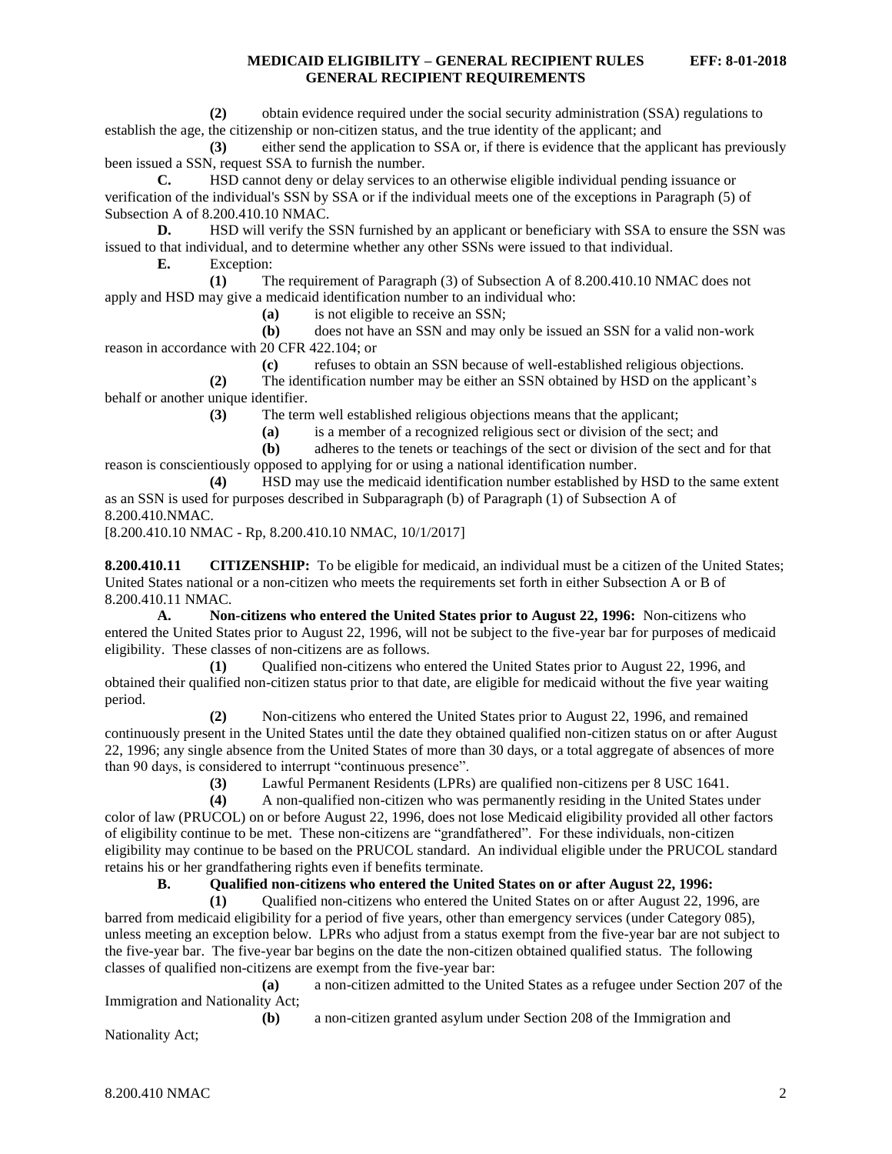**(2)** obtain evidence required under the social security administration (SSA) regulations to establish the age, the citizenship or non-citizen status, and the true identity of the applicant; and

**(3)** either send the application to SSA or, if there is evidence that the applicant has previously been issued a SSN, request SSA to furnish the number.

**C.** HSD cannot deny or delay services to an otherwise eligible individual pending issuance or verification of the individual's SSN by SSA or if the individual meets one of the exceptions in Paragraph (5) of Subsection A of 8.200.410.10 NMAC.

**D.** HSD will verify the SSN furnished by an applicant or beneficiary with SSA to ensure the SSN was issued to that individual, and to determine whether any other SSNs were issued to that individual.

**E.** Exception:

**(1)** The requirement of Paragraph (3) of Subsection A of 8.200.410.10 NMAC does not apply and HSD may give a medicaid identification number to an individual who:

**(a)** is not eligible to receive an SSN;

**(b)** does not have an SSN and may only be issued an SSN for a valid non-work reason in accordance with 20 CFR 422.104; or

**(c)** refuses to obtain an SSN because of well-established religious objections.

**(2)** The identification number may be either an SSN obtained by HSD on the applicant's behalf or another unique identifier.

**(3)** The term well established religious objections means that the applicant;

**(a)** is a member of a recognized religious sect or division of the sect; and

**(b)** adheres to the tenets or teachings of the sect or division of the sect and for that reason is conscientiously opposed to applying for or using a national identification number.

**(4)** HSD may use the medicaid identification number established by HSD to the same extent as an SSN is used for purposes described in Subparagraph (b) of Paragraph (1) of Subsection A of 8.200.410.NMAC.

[8.200.410.10 NMAC - Rp, 8.200.410.10 NMAC, 10/1/2017]

<span id="page-2-0"></span>**8.200.410.11 CITIZENSHIP:** To be eligible for medicaid, an individual must be a citizen of the United States; United States national or a non-citizen who meets the requirements set forth in either Subsection A or B of 8.200.410.11 NMAC.

**A. Non-citizens who entered the United States prior to August 22, 1996:** Non-citizens who entered the United States prior to August 22, 1996, will not be subject to the five-year bar for purposes of medicaid eligibility. These classes of non-citizens are as follows.

**(1)** Qualified non-citizens who entered the United States prior to August 22, 1996, and obtained their qualified non-citizen status prior to that date, are eligible for medicaid without the five year waiting period.

**(2)** Non-citizens who entered the United States prior to August 22, 1996, and remained continuously present in the United States until the date they obtained qualified non-citizen status on or after August 22, 1996; any single absence from the United States of more than 30 days, or a total aggregate of absences of more than 90 days, is considered to interrupt "continuous presence".

**(3)** Lawful Permanent Residents (LPRs) are qualified non-citizens per 8 USC 1641.

**(4)** A non-qualified non-citizen who was permanently residing in the United States under color of law (PRUCOL) on or before August 22, 1996, does not lose Medicaid eligibility provided all other factors of eligibility continue to be met. These non-citizens are "grandfathered". For these individuals, non-citizen eligibility may continue to be based on the PRUCOL standard. An individual eligible under the PRUCOL standard retains his or her grandfathering rights even if benefits terminate.

**B. Qualified non-citizens who entered the United States on or after August 22, 1996:**

**(1)** Qualified non-citizens who entered the United States on or after August 22, 1996, are barred from medicaid eligibility for a period of five years, other than emergency services (under Category 085), unless meeting an exception below. LPRs who adjust from a status exempt from the five-year bar are not subject to the five-year bar. The five-year bar begins on the date the non-citizen obtained qualified status. The following classes of qualified non-citizens are exempt from the five-year bar:

**(a)** a non-citizen admitted to the United States as a refugee under Section 207 of the Immigration and Nationality Act;

**(b)** a non-citizen granted asylum under Section 208 of the Immigration and Nationality Act;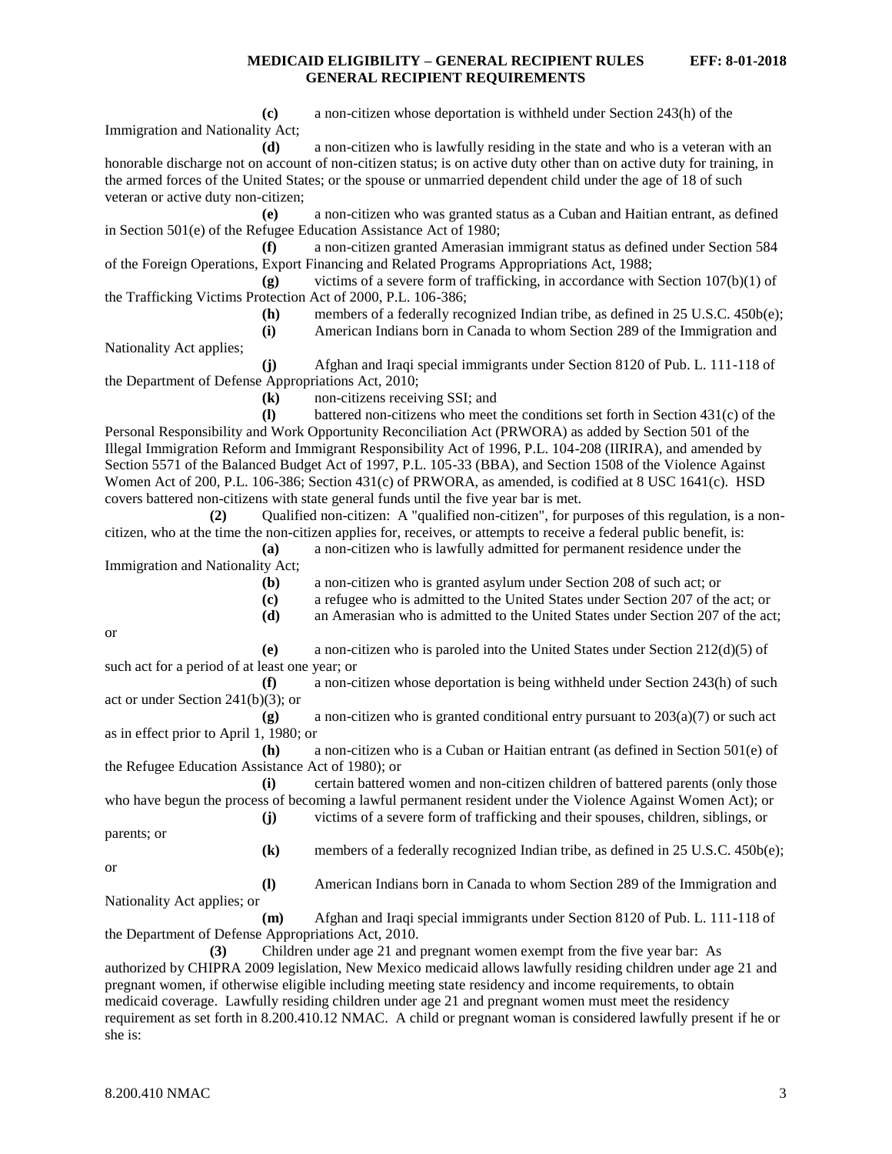**(c)** a non-citizen whose deportation is withheld under Section 243(h) of the Immigration and Nationality Act;

**(d)** a non-citizen who is lawfully residing in the state and who is a veteran with an honorable discharge not on account of non-citizen status; is on active duty other than on active duty for training, in the armed forces of the United States; or the spouse or unmarried dependent child under the age of 18 of such veteran or active duty non-citizen;

**(e)** a non-citizen who was granted status as a Cuban and Haitian entrant, as defined in Section 501(e) of the Refugee Education Assistance Act of 1980;

**(f)** a non-citizen granted Amerasian immigrant status as defined under Section 584 of the Foreign Operations, Export Financing and Related Programs Appropriations Act, 1988;

**(g)** victims of a severe form of trafficking, in accordance with Section 107(b)(1) of the Trafficking Victims Protection Act of 2000, P.L. 106-386;

**(h)** members of a federally recognized Indian tribe, as defined in 25 U.S.C. 450b(e);

**(i)** American Indians born in Canada to whom Section 289 of the Immigration and

Nationality Act applies;

**(j)** Afghan and Iraqi special immigrants under Section 8120 of Pub. L. 111-118 of the Department of Defense Appropriations Act, 2010;

**(k)** non-citizens receiving SSI; and

**(l)** battered non-citizens who meet the conditions set forth in Section 431(c) of the Personal Responsibility and Work Opportunity Reconciliation Act (PRWORA) as added by Section 501 of the Illegal Immigration Reform and Immigrant Responsibility Act of 1996, P.L. 104-208 (IIRIRA), and amended by Section 5571 of the Balanced Budget Act of 1997, P.L. 105-33 (BBA), and Section 1508 of the Violence Against Women Act of 200, P.L. 106-386; Section 431(c) of PRWORA, as amended, is codified at 8 USC 1641(c). HSD covers battered non-citizens with state general funds until the five year bar is met.

**(2)** Qualified non-citizen: A "qualified non-citizen", for purposes of this regulation, is a noncitizen, who at the time the non-citizen applies for, receives, or attempts to receive a federal public benefit, is:

**(a)** a non-citizen who is lawfully admitted for permanent residence under the Immigration and Nationality Act;

**(b)** a non-citizen who is granted asylum under Section 208 of such act; or

- **(c)** a refugee who is admitted to the United States under Section 207 of the act; or
- **(d)** an Amerasian who is admitted to the United States under Section 207 of the act;

or

**(e)** a non-citizen who is paroled into the United States under Section 212(d)(5) of such act for a period of at least one year; or

**(f)** a non-citizen whose deportation is being withheld under Section 243(h) of such act or under Section 241(b)(3); or

**(g)** a non-citizen who is granted conditional entry pursuant to 203(a)(7) or such act as in effect prior to April 1, 1980; or

**(h)** a non-citizen who is a Cuban or Haitian entrant (as defined in Section 501(e) of the Refugee Education Assistance Act of 1980); or

**(i)** certain battered women and non-citizen children of battered parents (only those who have begun the process of becoming a lawful permanent resident under the Violence Against Women Act); or **(j)** victims of a severe form of trafficking and their spouses, children, siblings, or

parents; or

**(k)** members of a federally recognized Indian tribe, as defined in 25 U.S.C. 450b(e);

or

**(l)** American Indians born in Canada to whom Section 289 of the Immigration and

Nationality Act applies; or

**(m)** Afghan and Iraqi special immigrants under Section 8120 of Pub. L. 111-118 of the Department of Defense Appropriations Act, 2010.

**(3)** Children under age 21 and pregnant women exempt from the five year bar: As authorized by CHIPRA 2009 legislation, New Mexico medicaid allows lawfully residing children under age 21 and pregnant women, if otherwise eligible including meeting state residency and income requirements, to obtain medicaid coverage. Lawfully residing children under age 21 and pregnant women must meet the residency requirement as set forth in 8.200.410.12 NMAC. A child or pregnant woman is considered lawfully present if he or she is: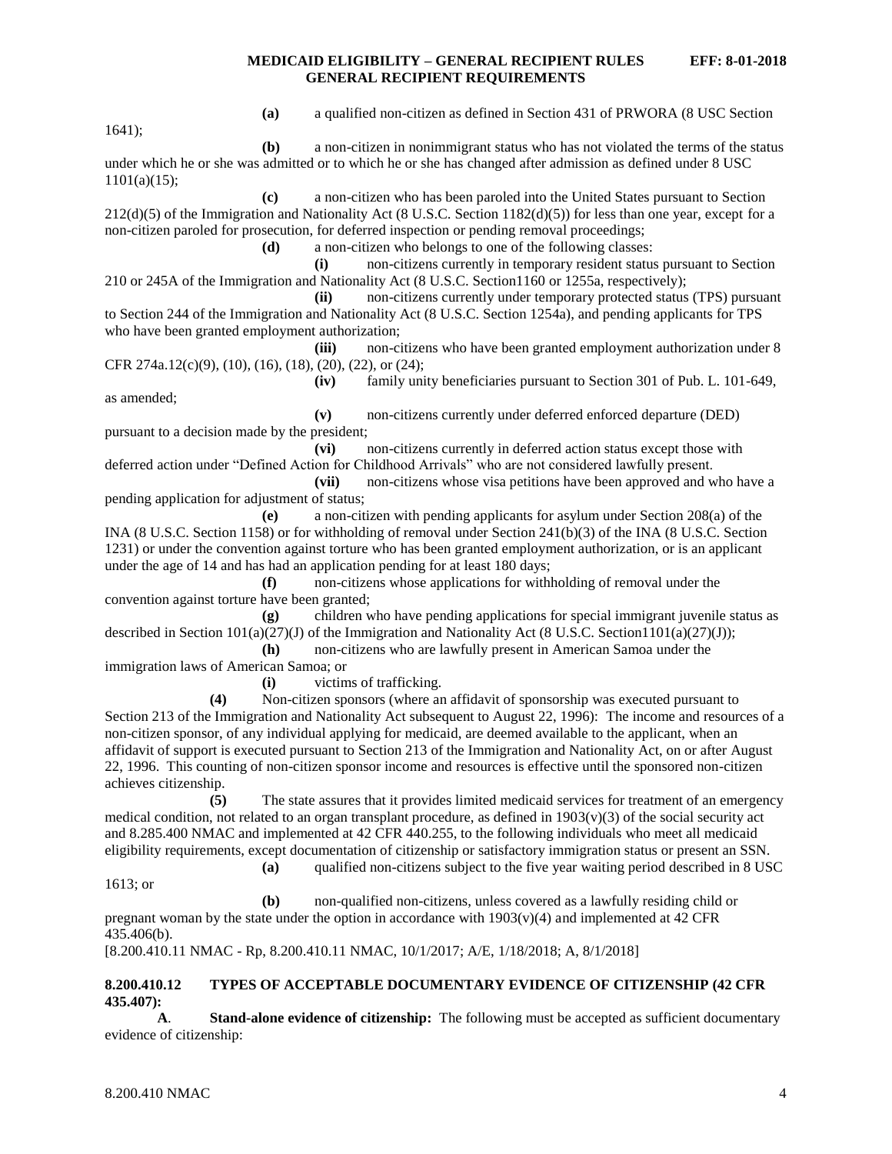1641);

**(a)** a qualified non-citizen as defined in Section 431 of PRWORA (8 USC Section

**(b)** a non-citizen in nonimmigrant status who has not violated the terms of the status under which he or she was admitted or to which he or she has changed after admission as defined under 8 USC 1101(a)(15);

**(c)** a non-citizen who has been paroled into the United States pursuant to Section 212(d)(5) of the Immigration and Nationality Act (8 U.S.C. Section 1182(d)(5)) for less than one year, except for a non-citizen paroled for prosecution, for deferred inspection or pending removal proceedings;

**(d)** a non-citizen who belongs to one of the following classes:

**(i)** non-citizens currently in temporary resident status pursuant to Section 210 or 245A of the Immigration and Nationality Act (8 U.S.C. Section1160 or 1255a, respectively);

**(ii)** non-citizens currently under temporary protected status (TPS) pursuant to Section 244 of the Immigration and Nationality Act (8 U.S.C. Section 1254a), and pending applicants for TPS who have been granted employment authorization;

**(iii)** non-citizens who have been granted employment authorization under 8 CFR 274a.12(c)(9), (10), (16), (18), (20), (22), or (24);

**(iv)** family unity beneficiaries pursuant to Section 301 of Pub. L. 101-649, as amended;

**(v)** non-citizens currently under deferred enforced departure (DED) pursuant to a decision made by the president;

**(vi)** non-citizens currently in deferred action status except those with deferred action under "Defined Action for Childhood Arrivals" who are not considered lawfully present.

**(vii)** non-citizens whose visa petitions have been approved and who have a pending application for adjustment of status;

**(e)** a non-citizen with pending applicants for asylum under Section 208(a) of the INA (8 U.S.C. Section 1158) or for withholding of removal under Section 241(b)(3) of the INA (8 U.S.C. Section 1231) or under the convention against torture who has been granted employment authorization, or is an applicant under the age of 14 and has had an application pending for at least 180 days;

**(f)** non-citizens whose applications for withholding of removal under the convention against torture have been granted;

**(g)** children who have pending applications for special immigrant juvenile status as described in Section 101(a)(27)(J) of the Immigration and Nationality Act (8 U.S.C. Section1101(a)(27)(J));

**(h)** non-citizens who are lawfully present in American Samoa under the immigration laws of American Samoa; or

**(i)** victims of trafficking.

**(4)** Non-citizen sponsors (where an affidavit of sponsorship was executed pursuant to Section 213 of the Immigration and Nationality Act subsequent to August 22, 1996): The income and resources of a non-citizen sponsor, of any individual applying for medicaid, are deemed available to the applicant, when an affidavit of support is executed pursuant to Section 213 of the Immigration and Nationality Act, on or after August 22, 1996. This counting of non-citizen sponsor income and resources is effective until the sponsored non-citizen achieves citizenship.

**(5)** The state assures that it provides limited medicaid services for treatment of an emergency medical condition, not related to an organ transplant procedure, as defined in  $1903(v)(3)$  of the social security act and 8.285.400 NMAC and implemented at 42 CFR 440.255, to the following individuals who meet all medicaid eligibility requirements, except documentation of citizenship or satisfactory immigration status or present an SSN.

**(a)** qualified non-citizens subject to the five year waiting period described in 8 USC 1613; or

**(b)** non-qualified non-citizens, unless covered as a lawfully residing child or pregnant woman by the state under the option in accordance with  $1903(v)(4)$  and implemented at 42 CFR 435.406(b).

[8.200.410.11 NMAC - Rp, 8.200.410.11 NMAC, 10/1/2017; A/E, 1/18/2018; A, 8/1/2018]

#### <span id="page-4-0"></span>**8.200.410.12 TYPES OF ACCEPTABLE DOCUMENTARY EVIDENCE OF CITIZENSHIP (42 CFR 435.407):**

**A**. **Stand-alone evidence of citizenship:** The following must be accepted as sufficient documentary evidence of citizenship: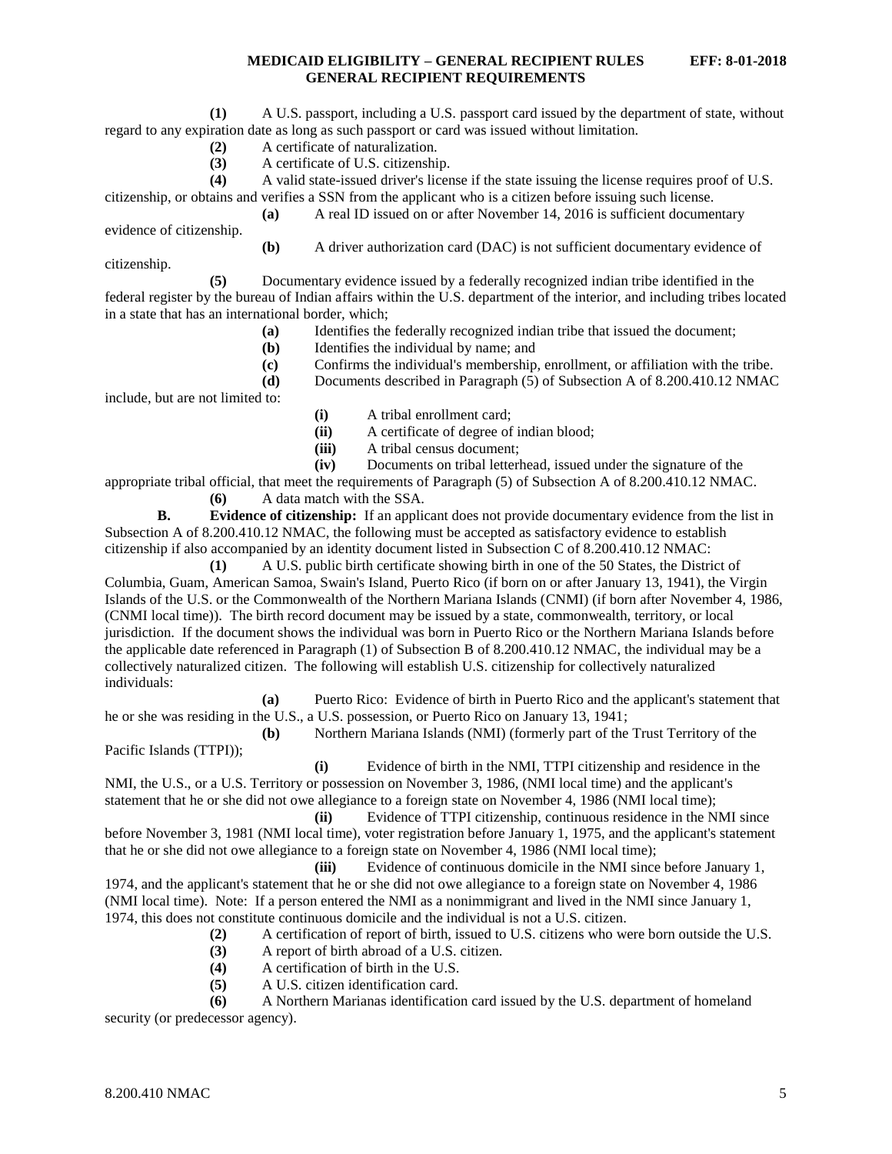- **(2)** A certificate of naturalization.
- **(3)** A certificate of U.S. citizenship.

**(4)** A valid state-issued driver's license if the state issuing the license requires proof of U.S. citizenship, or obtains and verifies a SSN from the applicant who is a citizen before issuing such license.

**(a)** A real ID issued on or after November 14, 2016 is sufficient documentary evidence of citizenship.

**(b)** A driver authorization card (DAC) is not sufficient documentary evidence of

citizenship.

**(5)** Documentary evidence issued by a federally recognized indian tribe identified in the federal register by the bureau of Indian affairs within the U.S. department of the interior, and including tribes located in a state that has an international border, which;

- **(a)** Identifies the federally recognized indian tribe that issued the document;
- **(b)** Identifies the individual by name; and
- **(c)** Confirms the individual's membership, enrollment, or affiliation with the tribe.
- **(d)** Documents described in Paragraph (5) of Subsection A of 8.200.410.12 NMAC

include, but are not limited to:

- **(i)** A tribal enrollment card;
- **(ii)** A certificate of degree of indian blood;
- **(iii)** A tribal census document;

**(iv)** Documents on tribal letterhead, issued under the signature of the

appropriate tribal official, that meet the requirements of Paragraph (5) of Subsection A of 8.200.410.12 NMAC.

**(6)** A data match with the SSA.

**B. Evidence of citizenship:** If an applicant does not provide documentary evidence from the list in Subsection A of 8.200.410.12 NMAC, the following must be accepted as satisfactory evidence to establish citizenship if also accompanied by an identity document listed in Subsection C of 8.200.410.12 NMAC:

**(1)** A U.S. public birth certificate showing birth in one of the 50 States, the District of Columbia, Guam, American Samoa, Swain's Island, Puerto Rico (if born on or after January 13, 1941), the Virgin Islands of the U.S. or the Commonwealth of the Northern Mariana Islands (CNMI) (if born after November 4, 1986, (CNMI local time)). The birth record document may be issued by a state, commonwealth, territory, or local jurisdiction. If the document shows the individual was born in Puerto Rico or the Northern Mariana Islands before the applicable date referenced in Paragraph (1) of Subsection B of 8.200.410.12 NMAC, the individual may be a collectively naturalized citizen. The following will establish U.S. citizenship for collectively naturalized individuals:

**(a)** Puerto Rico: Evidence of birth in Puerto Rico and the applicant's statement that he or she was residing in the U.S., a U.S. possession, or Puerto Rico on January 13, 1941;

**(b)** Northern Mariana Islands (NMI) (formerly part of the Trust Territory of the Pacific Islands (TTPI));

**(i)** Evidence of birth in the NMI, TTPI citizenship and residence in the NMI, the U.S., or a U.S. Territory or possession on November 3, 1986, (NMI local time) and the applicant's statement that he or she did not owe allegiance to a foreign state on November 4, 1986 (NMI local time);

**(ii)** Evidence of TTPI citizenship, continuous residence in the NMI since before November 3, 1981 (NMI local time), voter registration before January 1, 1975, and the applicant's statement that he or she did not owe allegiance to a foreign state on November 4, 1986 (NMI local time);

**(iii)** Evidence of continuous domicile in the NMI since before January 1, 1974, and the applicant's statement that he or she did not owe allegiance to a foreign state on November 4, 1986 (NMI local time). Note: If a person entered the NMI as a nonimmigrant and lived in the NMI since January 1, 1974, this does not constitute continuous domicile and the individual is not a U.S. citizen.

- **(2)** A certification of report of birth, issued to U.S. citizens who were born outside the U.S.
- **(3)** A report of birth abroad of a U.S. citizen.
- **(4)** A certification of birth in the U.S.
- **(5)** A U.S. citizen identification card.

**(6)** A Northern Marianas identification card issued by the U.S. department of homeland security (or predecessor agency).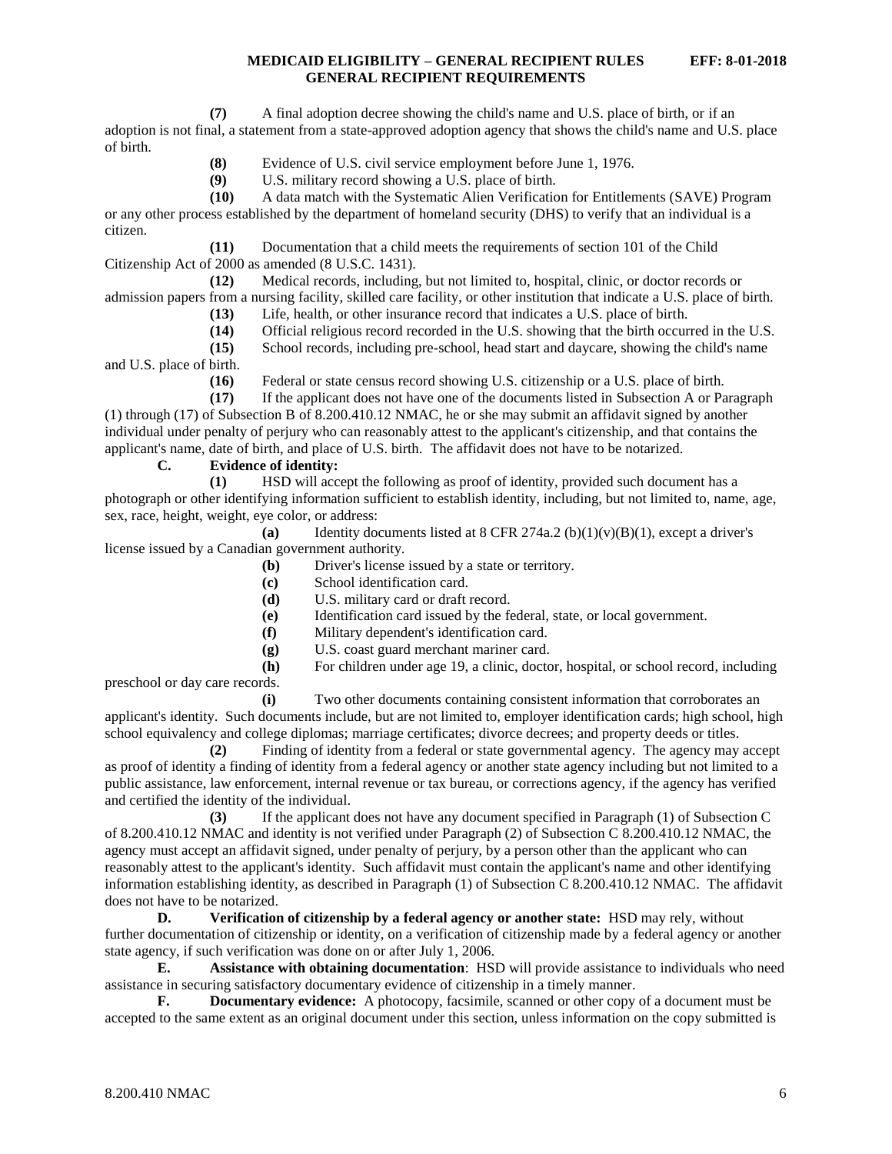- **(8)** Evidence of U.S. civil service employment before June 1, 1976.
- **(9)** U.S. military record showing a U.S. place of birth.

**(10)** A data match with the Systematic Alien Verification for Entitlements (SAVE) Program or any other process established by the department of homeland security (DHS) to verify that an individual is a citizen.

**(11)** Documentation that a child meets the requirements of section 101 of the Child Citizenship Act of 2000 as amended (8 U.S.C. 1431).

**(12)** Medical records, including, but not limited to, hospital, clinic, or doctor records or admission papers from a nursing facility, skilled care facility, or other institution that indicate a U.S. place of birth.

- **(13)** Life, health, or other insurance record that indicates a U.S. place of birth.
- **(14)** Official religious record recorded in the U.S. showing that the birth occurred in the U.S.
- **(15)** School records, including pre-school, head start and daycare, showing the child's name

and U.S. place of birth.

**(16)** Federal or state census record showing U.S. citizenship or a U.S. place of birth.

**(17)** If the applicant does not have one of the documents listed in Subsection A or Paragraph (1) through (17) of Subsection B of 8.200.410.12 NMAC, he or she may submit an affidavit signed by another individual under penalty of perjury who can reasonably attest to the applicant's citizenship, and that contains the applicant's name, date of birth, and place of U.S. birth. The affidavit does not have to be notarized.

# **C. Evidence of identity:**

**(1)** HSD will accept the following as proof of identity, provided such document has a photograph or other identifying information sufficient to establish identity, including, but not limited to, name, age, sex, race, height, weight, eye color, or address:

**(a)** Identity documents listed at 8 CFR 274a.2 (b)(1)(v)(B)(1), except a driver's license issued by a Canadian government authority.

- **(b)** Driver's license issued by a state or territory.
- **(c)** School identification card.
- **(d)** U.S. military card or draft record.
- **(e)** Identification card issued by the federal, state, or local government.
- **(f)** Military dependent's identification card.
- **(g)** U.S. coast guard merchant mariner card.
- **(h)** For children under age 19, a clinic, doctor, hospital, or school record, including preschool or day care records.

**(i)** Two other documents containing consistent information that corroborates an applicant's identity. Such documents include, but are not limited to, employer identification cards; high school, high school equivalency and college diplomas; marriage certificates; divorce decrees; and property deeds or titles.

**(2)** Finding of identity from a federal or state governmental agency. The agency may accept as proof of identity a finding of identity from a federal agency or another state agency including but not limited to a public assistance, law enforcement, internal revenue or tax bureau, or corrections agency, if the agency has verified and certified the identity of the individual.

**(3)** If the applicant does not have any document specified in Paragraph (1) of Subsection C of 8.200.410.12 NMAC and identity is not verified under Paragraph (2) of Subsection C 8.200.410.12 NMAC, the agency must accept an affidavit signed, under penalty of perjury, by a person other than the applicant who can reasonably attest to the applicant's identity. Such affidavit must contain the applicant's name and other identifying information establishing identity, as described in Paragraph (1) of Subsection C 8.200.410.12 NMAC. The affidavit does not have to be notarized.

**D. Verification of citizenship by a federal agency or another state:** HSD may rely, without further documentation of citizenship or identity, on a verification of citizenship made by a federal agency or another state agency, if such verification was done on or after July 1, 2006.

**E. Assistance with obtaining documentation**: HSD will provide assistance to individuals who need assistance in securing satisfactory documentary evidence of citizenship in a timely manner.

**F. Documentary evidence:** A photocopy, facsimile, scanned or other copy of a document must be accepted to the same extent as an original document under this section, unless information on the copy submitted is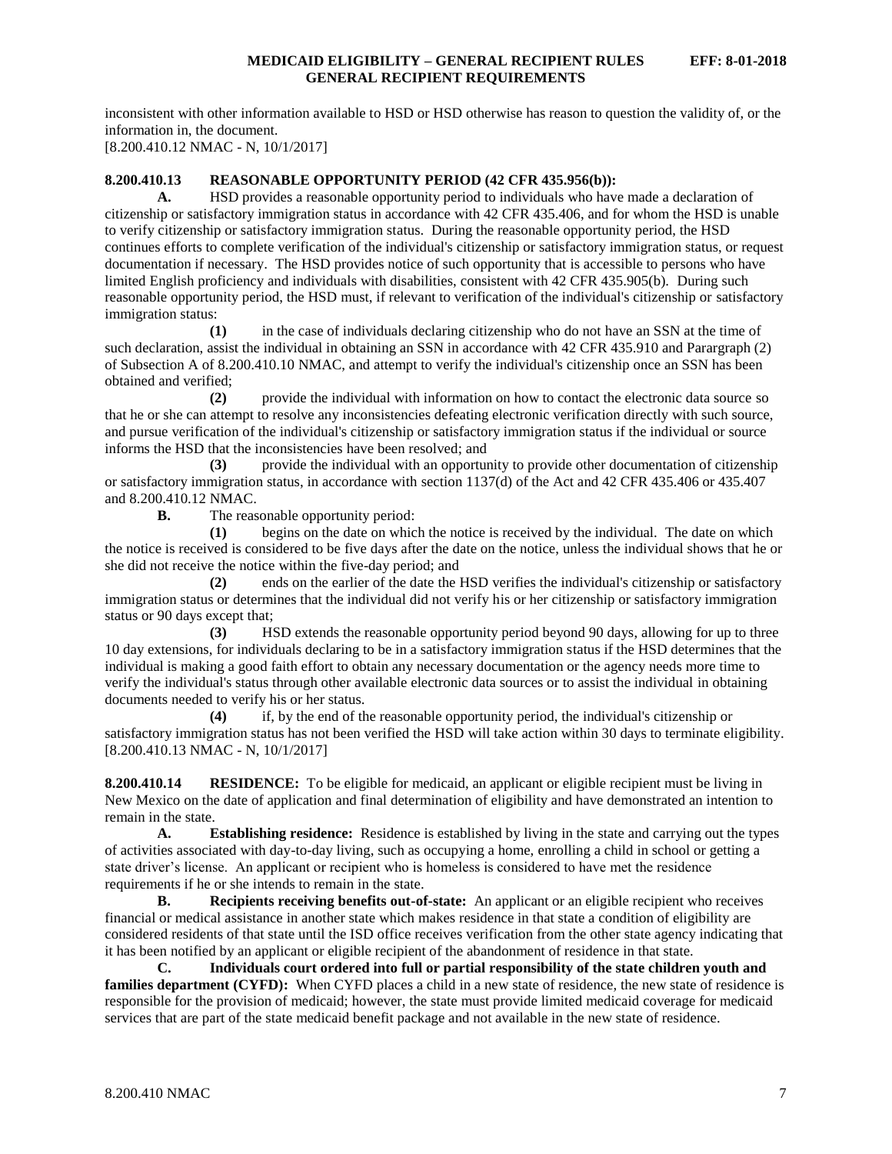inconsistent with other information available to HSD or HSD otherwise has reason to question the validity of, or the information in, the document.

[8.200.410.12 NMAC - N, 10/1/2017]

# <span id="page-7-0"></span>**8.200.410.13 REASONABLE OPPORTUNITY PERIOD (42 CFR 435.956(b)):**

**A.** HSD provides a reasonable opportunity period to individuals who have made a declaration of citizenship or satisfactory immigration status in accordance with 42 CFR 435.406, and for whom the HSD is unable to verify citizenship or satisfactory immigration status. During the reasonable opportunity period, the HSD continues efforts to complete verification of the individual's citizenship or satisfactory immigration status, or request documentation if necessary. The HSD provides notice of such opportunity that is accessible to persons who have limited English proficiency and individuals with disabilities, consistent with 42 CFR 435.905(b). During such reasonable opportunity period, the HSD must, if relevant to verification of the individual's citizenship or satisfactory immigration status:

**(1)** in the case of individuals declaring citizenship who do not have an SSN at the time of such declaration, assist the individual in obtaining an SSN in accordance with 42 CFR 435.910 and Parargraph (2) of Subsection A of 8.200.410.10 NMAC, and attempt to verify the individual's citizenship once an SSN has been obtained and verified;

**(2)** provide the individual with information on how to contact the electronic data source so that he or she can attempt to resolve any inconsistencies defeating electronic verification directly with such source, and pursue verification of the individual's citizenship or satisfactory immigration status if the individual or source informs the HSD that the inconsistencies have been resolved; and

**(3)** provide the individual with an opportunity to provide other documentation of citizenship or satisfactory immigration status, in accordance with section 1137(d) of the Act and 42 CFR 435.406 or 435.407 and 8.200.410.12 NMAC.

**B.** The reasonable opportunity period:

**(1)** begins on the date on which the notice is received by the individual. The date on which the notice is received is considered to be five days after the date on the notice, unless the individual shows that he or she did not receive the notice within the five-day period; and

**(2)** ends on the earlier of the date the HSD verifies the individual's citizenship or satisfactory immigration status or determines that the individual did not verify his or her citizenship or satisfactory immigration status or 90 days except that;

**(3)** HSD extends the reasonable opportunity period beyond 90 days, allowing for up to three 10 day extensions, for individuals declaring to be in a satisfactory immigration status if the HSD determines that the individual is making a good faith effort to obtain any necessary documentation or the agency needs more time to verify the individual's status through other available electronic data sources or to assist the individual in obtaining documents needed to verify his or her status.

**(4)** if, by the end of the reasonable opportunity period, the individual's citizenship or satisfactory immigration status has not been verified the HSD will take action within 30 days to terminate eligibility. [8.200.410.13 NMAC - N, 10/1/2017]

<span id="page-7-1"></span>**8.200.410.14 RESIDENCE:** To be eligible for medicaid, an applicant or eligible recipient must be living in New Mexico on the date of application and final determination of eligibility and have demonstrated an intention to remain in the state.

**A. Establishing residence:** Residence is established by living in the state and carrying out the types of activities associated with day-to-day living, such as occupying a home, enrolling a child in school or getting a state driver's license. An applicant or recipient who is homeless is considered to have met the residence requirements if he or she intends to remain in the state.

**B. Recipients receiving benefits out-of-state:** An applicant or an eligible recipient who receives financial or medical assistance in another state which makes residence in that state a condition of eligibility are considered residents of that state until the ISD office receives verification from the other state agency indicating that it has been notified by an applicant or eligible recipient of the abandonment of residence in that state.

**C. Individuals court ordered into full or partial responsibility of the state children youth and families department (CYFD):** When CYFD places a child in a new state of residence, the new state of residence is responsible for the provision of medicaid; however, the state must provide limited medicaid coverage for medicaid services that are part of the state medicaid benefit package and not available in the new state of residence.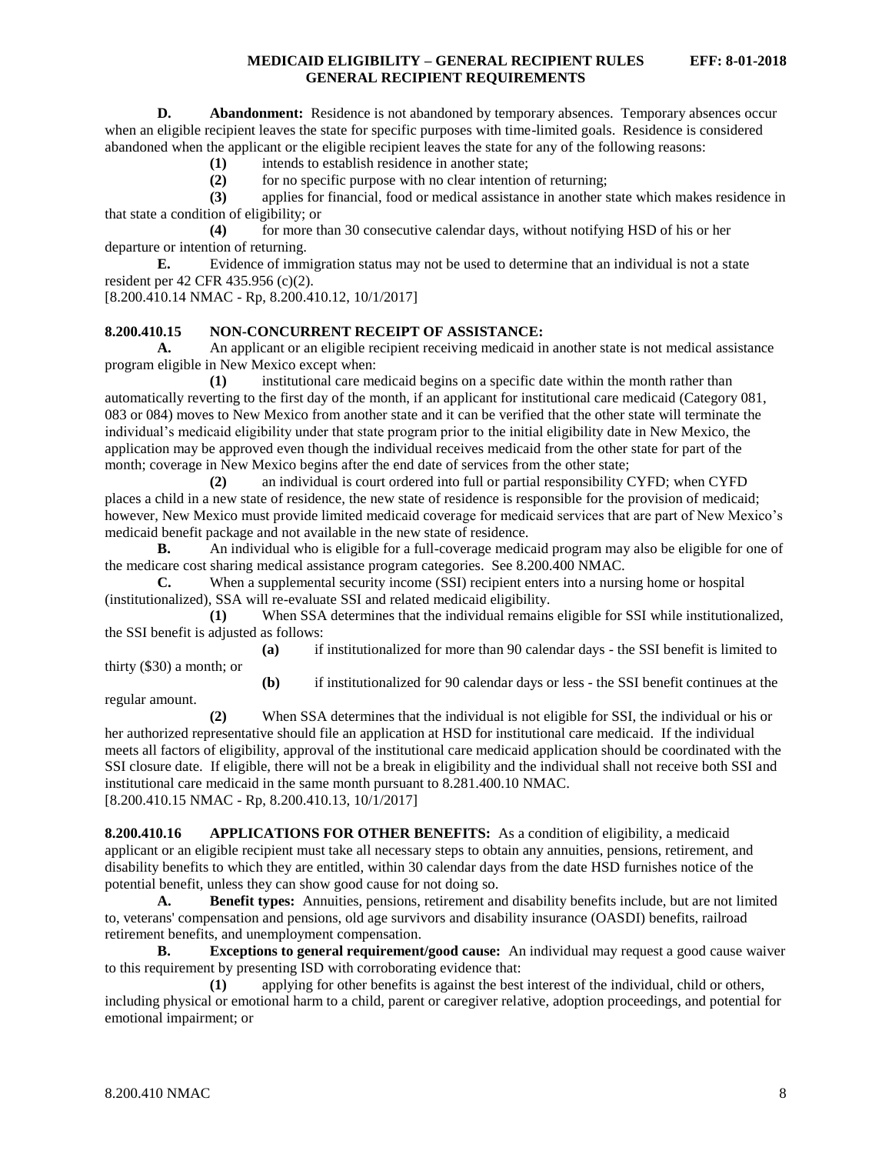**D. Abandonment:** Residence is not abandoned by temporary absences. Temporary absences occur when an eligible recipient leaves the state for specific purposes with time-limited goals. Residence is considered abandoned when the applicant or the eligible recipient leaves the state for any of the following reasons:

**(1)** intends to establish residence in another state;

**(2)** for no specific purpose with no clear intention of returning;

**(3)** applies for financial, food or medical assistance in another state which makes residence in that state a condition of eligibility; or

**(4)** for more than 30 consecutive calendar days, without notifying HSD of his or her departure or intention of returning.

**E.** Evidence of immigration status may not be used to determine that an individual is not a state resident per 42 CFR 435.956 (c)(2).

[8.200.410.14 NMAC - Rp, 8.200.410.12, 10/1/2017]

# <span id="page-8-0"></span>**8.200.410.15 NON-CONCURRENT RECEIPT OF ASSISTANCE:**

**A.** An applicant or an eligible recipient receiving medicaid in another state is not medical assistance program eligible in New Mexico except when:

**(1)** institutional care medicaid begins on a specific date within the month rather than automatically reverting to the first day of the month, if an applicant for institutional care medicaid (Category 081, 083 or 084) moves to New Mexico from another state and it can be verified that the other state will terminate the individual's medicaid eligibility under that state program prior to the initial eligibility date in New Mexico, the application may be approved even though the individual receives medicaid from the other state for part of the month; coverage in New Mexico begins after the end date of services from the other state;

**(2)** an individual is court ordered into full or partial responsibility CYFD; when CYFD places a child in a new state of residence, the new state of residence is responsible for the provision of medicaid; however, New Mexico must provide limited medicaid coverage for medicaid services that are part of New Mexico's medicaid benefit package and not available in the new state of residence.

**B.** An individual who is eligible for a full-coverage medicaid program may also be eligible for one of the medicare cost sharing medical assistance program categories. See 8.200.400 NMAC.

**C.** When a supplemental security income (SSI) recipient enters into a nursing home or hospital (institutionalized), SSA will re-evaluate SSI and related medicaid eligibility.

**(1)** When SSA determines that the individual remains eligible for SSI while institutionalized, the SSI benefit is adjusted as follows:

**(a)** if institutionalized for more than 90 calendar days - the SSI benefit is limited to thirty (\$30) a month; or

**(b)** if institutionalized for 90 calendar days or less - the SSI benefit continues at the regular amount.

**(2)** When SSA determines that the individual is not eligible for SSI, the individual or his or her authorized representative should file an application at HSD for institutional care medicaid. If the individual meets all factors of eligibility, approval of the institutional care medicaid application should be coordinated with the SSI closure date. If eligible, there will not be a break in eligibility and the individual shall not receive both SSI and institutional care medicaid in the same month pursuant to 8.281.400.10 NMAC. [8.200.410.15 NMAC - Rp, 8.200.410.13, 10/1/2017]

<span id="page-8-1"></span>**8.200.410.16 APPLICATIONS FOR OTHER BENEFITS:** As a condition of eligibility, a medicaid applicant or an eligible recipient must take all necessary steps to obtain any annuities, pensions, retirement, and disability benefits to which they are entitled, within 30 calendar days from the date HSD furnishes notice of the potential benefit, unless they can show good cause for not doing so.

**A. Benefit types:** Annuities, pensions, retirement and disability benefits include, but are not limited to, veterans' compensation and pensions, old age survivors and disability insurance (OASDI) benefits, railroad retirement benefits, and unemployment compensation.

**B. Exceptions to general requirement/good cause:** An individual may request a good cause waiver to this requirement by presenting ISD with corroborating evidence that:

**(1)** applying for other benefits is against the best interest of the individual, child or others, including physical or emotional harm to a child, parent or caregiver relative, adoption proceedings, and potential for emotional impairment; or